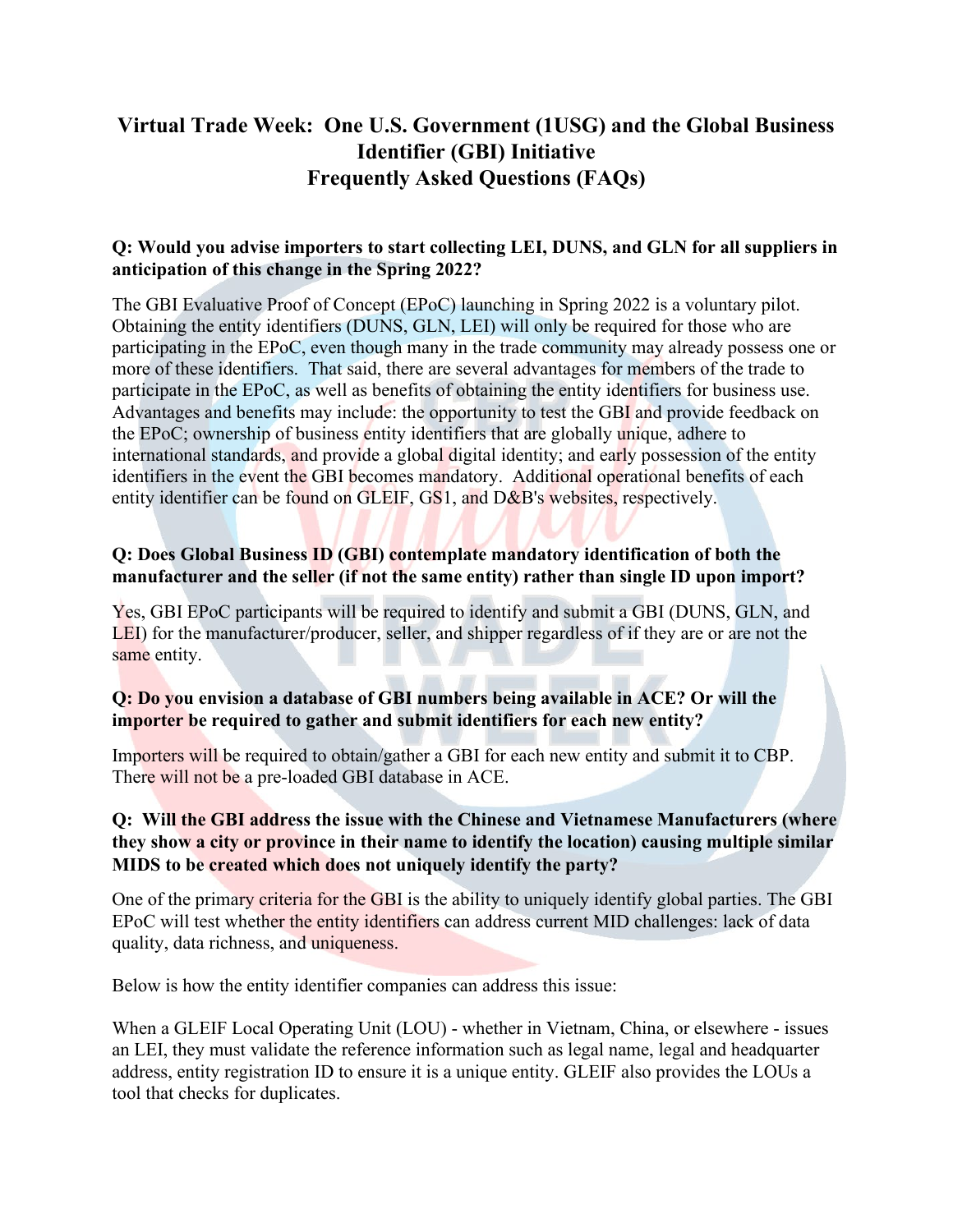# **Virtual Trade Week: One U.S. Government (1USG) and the Global Business Identifier (GBI) Initiative Frequently Asked Questions (FAQs)**

### **Q: Would you advise importers to start collecting LEI, DUNS, and GLN for all suppliers in anticipation of this change in the Spring 2022?**

The GBI Evaluative Proof of Concept (EPoC) launching in Spring 2022 is a voluntary pilot. Obtaining the entity identifiers (DUNS, GLN, LEI) will only be required for those who are participating in the EPoC, even though many in the trade community may already possess one or more of these identifiers. That said, there are several advantages for members of the trade to participate in the EPoC, as well as benefits of obtaining the entity identifiers for business use. Advantages and benefits may include: the opportunity to test the GBI and provide feedback on the EPoC; ownership of business entity identifiers that are globally unique, adhere to international standards, and provide a global digital identity; and early possession of the entity identifiers in the event the GBI becomes mandatory. Additional operational benefits of each entity identifier can be found on GLEIF, GS1, and D&B's websites, respectively.

## **Q: Does Global Business ID (GBI) contemplate mandatory identification of both the manufacturer and the seller (if not the same entity) rather than single ID upon import?**

Yes, GBI EPoC participants will be required to identify and submit a GBI (DUNS, GLN, and LEI) for the manufacturer/producer, seller, and shipper regardless of if they are or are not the same entity.

### **Q: Do you envision a database of GBI numbers being available in ACE? Or will the importer be required to gather and submit identifiers for each new entity?**

Importers will be required to obtain/gather a GBI for each new entity and submit it to CBP. There will not be a pre-loaded GBI database in ACE.

## **Q: Will the GBI address the issue with the Chinese and Vietnamese Manufacturers (where they show a city or province in their name to identify the location) causing multiple similar MIDS to be created which does not uniquely identify the party?**

One of the primary criteria for the GBI is the ability to uniquely identify global parties. The GBI EPoC will test whether the entity identifiers can address current MID challenges: lack of data quality, data richness, and uniqueness.

Below is how the entity identifier companies can address this issue:

When a GLEIF Local Operating Unit (LOU) - whether in Vietnam, China, or elsewhere - issues an LEI, they must validate the reference information such as legal name, legal and headquarter address, entity registration ID to ensure it is a unique entity. GLEIF also provides the LOUs a tool that checks for duplicates.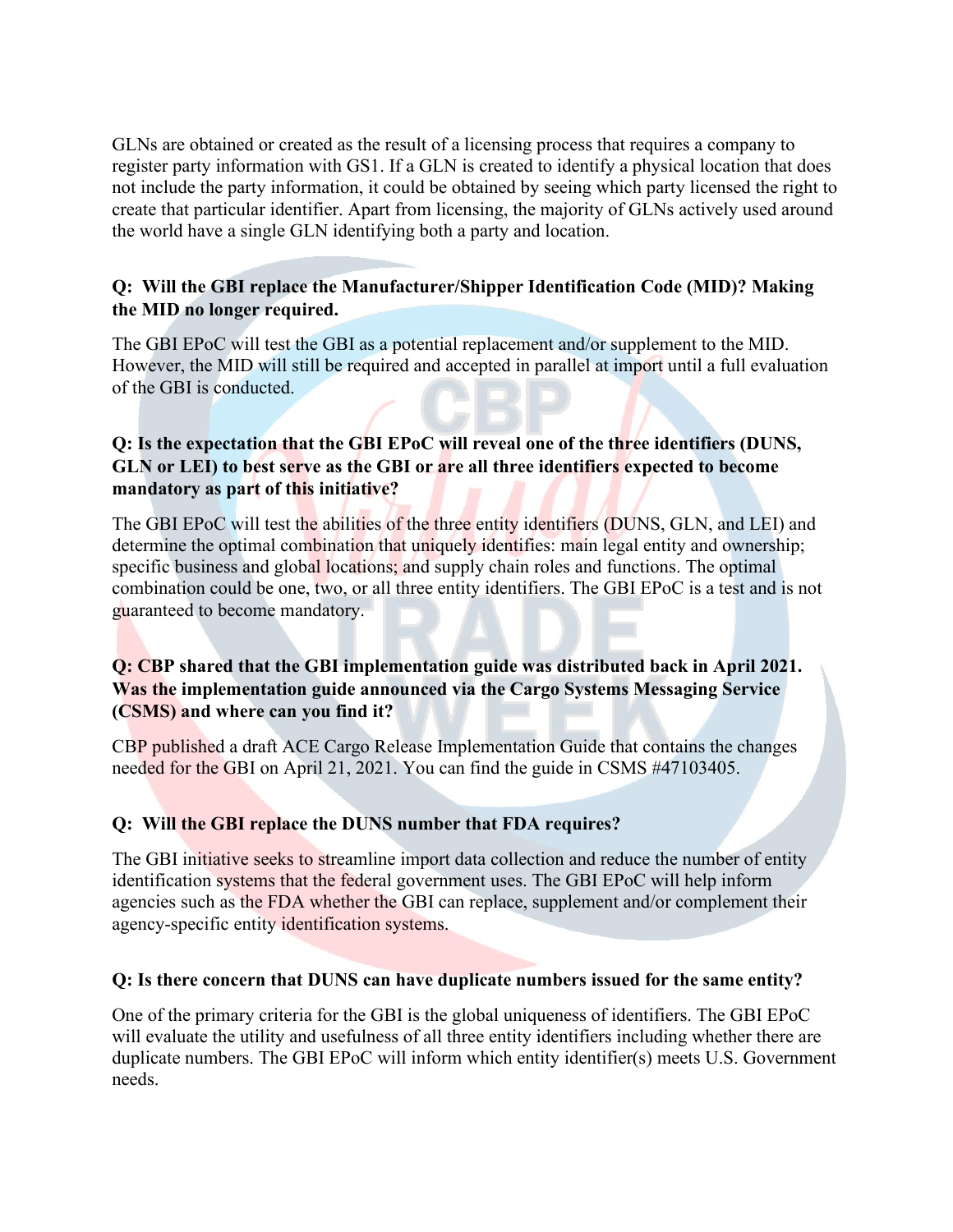GLNs are obtained or created as the result of a licensing process that requires a company to register party information with GS1. If a GLN is created to identify a physical location that does not include the party information, it could be obtained by seeing which party licensed the right to create that particular identifier. Apart from licensing, the majority of GLNs actively used around the world have a single GLN identifying both a party and location.

# **Q: Will the GBI replace the Manufacturer/Shipper Identification Code (MID)? Making the MID no longer required.**

The GBI EPoC will test the GBI as a potential replacement and/or supplement to the MID. However, the MID will still be required and accepted in parallel at import until a full evaluation of the GBI is conducted.

## **Q: Is the expectation that the GBI EPoC will reveal one of the three identifiers (DUNS, GLN or LEI) to best serve as the GBI or are all three identifiers expected to become mandatory as part of this initiative?**

The GBI EPoC will test the abilities of the three entity identifiers (DUNS, GLN, and LEI) and determine the optimal combination that uniquely identifies: main legal entity and ownership; specific business and global locations; and supply chain roles and functions. The optimal combination could be one, two, or all three entity identifiers. The GBI EPoC is a test and is not guaranteed to become mandatory.

# **Q: CBP shared that the GBI implementation guide was distributed back in April 2021. Was the implementation guide announced via the Cargo Systems Messaging Service (CSMS) and where can you find it?**

CBP published a draft ACE Cargo Release Implementation Guide that contains the changes needed for the GBI on April 21, 2021. You can find the guide in CSMS #47103405.

# **Q: Will the GBI replace the DUNS number that FDA requires?**

The GBI initiative seeks to streamline import data collection and reduce the number of entity identification systems that the federal government uses. The GBI EPoC will help inform agencies such as the FDA whether the GBI can replace, supplement and/or complement their agency-specific entity identification systems.

### **Q: Is there concern that DUNS can have duplicate numbers issued for the same entity?**

One of the primary criteria for the GBI is the global uniqueness of identifiers. The GBI EPoC will evaluate the utility and usefulness of all three entity identifiers including whether there are duplicate numbers. The GBI EPoC will inform which entity identifier(s) meets U.S. Government needs.